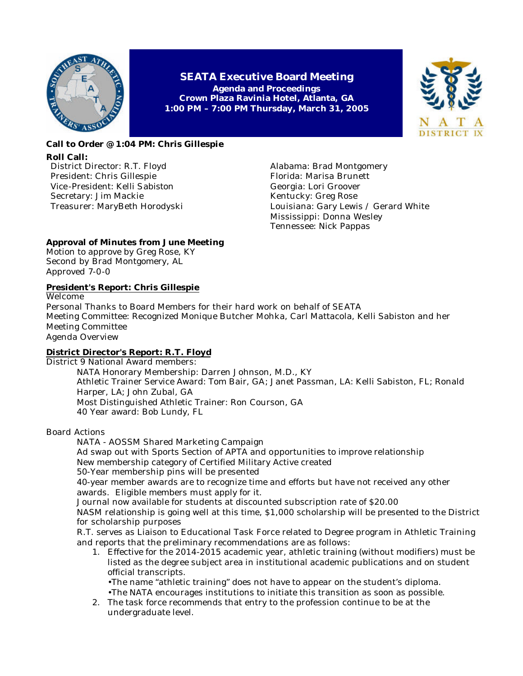

**SEATA Executive Board Meeting Agenda and Proceedings Crown Plaza Ravinia Hotel, Atlanta, GA 1:00 PM – 7:00 PM Thursday, March 31, 2005**



## **Call to Order @ 1:04 PM: Chris Gillespie Roll Call:**

District Director: R.T. Floyd President: Chris Gillespie Vice -President: Kelli Sabiston Secretary: Jim Mackie Treasurer: MaryBeth Horodyski Alabama: Brad Montgomery Florida: Marisa Brunett Georgia: Lori Groover Kentucky: Greg Rose Louisiana: Gary Lewis / Gerard White Mississippi: Donna Wesley Tennessee: Nick Pappas

## **Approval of Minutes from June Meeting**

Motion to approve by Greg Rose, KY Second by Brad Montgomery, AL Approved 7-0-0

## **President's Report: Chris Gillespie**

Welcome Personal Thanks to Board Members for their hard work on behalf of SEATA Meeting Committee: Recognized Monique Butcher Mohka, Carl Mattacola, Kelli Sabiston and her Meeting Committee Agenda Overview

# **District Director's Report: R.T. Floyd**

District 9 National Award members:

NATA Honorary Membership: Darren Johnson, M.D., KY Athletic Trainer Service Award: Tom Bair, GA; Janet Passman, LA: Kelli Sabiston, FL; Ronald Harper, LA; John Zubal, GA Most Distinguished Athletic Trainer: Ron Courson, GA 40 Year award: Bob Lundy, FL

Board Actions

NATA - AOSSM Shared Marketing Campaign Ad swap out with Sports Section of APTA and opportunities to improve relationship New membership category of Certified Military Active created 50-Year membership pins will be presented 40-year member awards are to recognize time and efforts but have not received any other awards. Eligible members must apply for it. Journal now available for students at discounted subscription rate of \$20.00 NASM relationship is going well at this time, \$1,000 scholarship will be presented to the District for scholarship purposes R.T. serves as Liaison to Educational Task Force related to Degree program in Athletic Training and reports that the preliminary recommendations are as follows: 1. Effective for the 2014-2015 academic year, athletic training (without modifiers) must be listed as the degree subject area in institutional academic publications and on student official transcripts.

•The name "athletic training" does not have to appear on the student's diploma. •The NATA encourages institutions to initiate this transition as soon as possible.

2. The task force recommends that entry to the profession continue to be at the undergraduate level.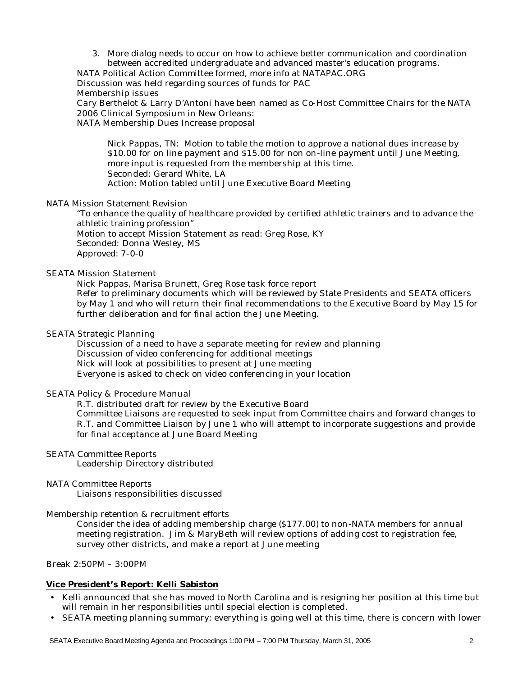3. More dialog needs to occur on how to achieve better communication and coordination between accredited undergraduate and advanced master's education programs.

NATA Political Action Committee formed, more info at NATAPAC.ORG

Discussion was held regarding sources of funds for PAC

Membership issues

Cary Berthelot & Larry D'Antoni have been named as Co-Host Committee Chairs for the NATA 2006 Clinical Symposium in New Orleans:

NATA Membership Dues Increase proposal

Nick Pappas, TN: Motion to table the motion to approve a national dues increase by \$10.00 for on line payment and \$15.00 for non on-line payment until June Meeting, more input is requested from the membership at this time. Seconded: Gerard White, LA Action: Motion tabled until June Executive Board Meeting

#### NATA Mission Statement Revision

"To enhance the quality of healthcare provided by certified athletic trainers and to advance the athletic training profession" Motion to accept Mission Statement as read: Greg Rose, KY Seconded: Donna Wesley, MS Approved: 7-0-0

#### SEATA Mission Statement

Nick Pappas, Marisa Brunett, Greg Rose task force report Refer to preliminary documents which will be reviewed by State Presidents and SEATA office rs by May 1 and who will return their final recommendations to the Executive Board by May 15 for further deliberation and for final action the June Meeting.

#### SEATA Strategic Planning

Discussion of a need to have a separate meeting for review and planning Discussion of video conferencing for additional meetings Nick will look at possibilities to present at June meeting Everyone is asked to check on video conferencing in your location

#### SEATA Policy & Procedure Manual

R.T. distributed draft for review by the Executive Board Committee Liaisons are requested to seek input from Committee chairs and forward changes to R.T. and Committee Liaison by June 1 who will attempt to incorporate suggestions and provide for final acceptance at June Board Meeting

SEATA Committee Reports Leadership Directory distributed

# NATA Committee Reports

Liaisons responsibilities discussed

Membership retention & recruitment efforts

Consider the idea of adding membership charge (\$177.00) to non-NATA members for annual meeting registration. Jim & MaryBeth will review options of adding cost to registration fee, survey other districts, and make a report at June meeting

Break 2:50PM – 3:00PM

## **Vice President's Report: Kelli Sabiston**

- Kelli announced that she has moved to North Carolina and is resigning her position at this time but will remain in her responsibilities until special election is completed.
- SEATA meeting planning summary: everything is going well at this time, there is concern with lower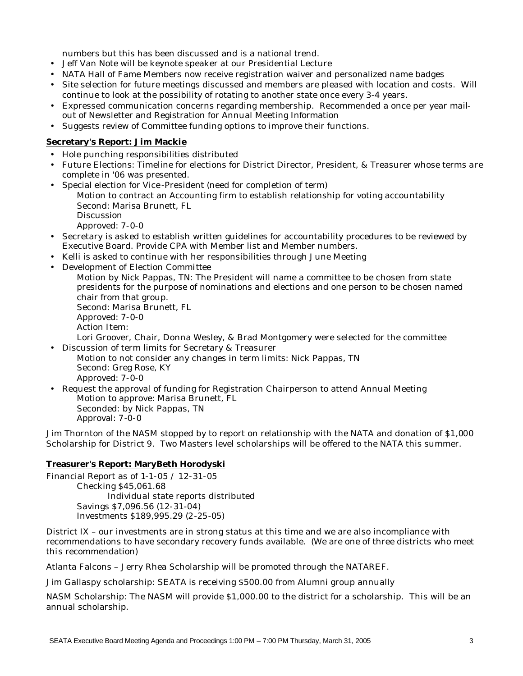numbers but this has been discussed and is a national trend.

- Jeff Van Note will be keynote speaker at our Presidential Lecture
- NATA Hall of Fame Members now receive registration waiver and personalized name badges
- Site selection for future meetings discussed and members are pleased with location and costs. Will continue to look at the possibility of rotating to another state once every 3-4 years.
- Expressed communication concerns regarding membership. Recommended a once per year mailout of Newsletter and Registration for Annual Meeting Information
- Suggests review of Committee funding options to improve their functions.

## **Secretary's Report: Jim Mackie**

- Hole punching responsibilities distributed
- Future Elections: Timeline for elections for District Director, President, & Treasurer whose terms are complete in '06 was presented.
- Special election for Vice -President (need for completion of term) Motion to contract an Accounting firm to establish relationship for voting accountability Second: Marisa Brunett, FL Discussion Approved: 7-0-0
- Secretary is asked to establish written guidelines for accountability procedures to be reviewed by Executive Board. Provide CPA with Member list and Member numbers.
- Kelli is asked to continue with her responsibilities through June Meeting
- Development of Election Committee
	- Motion by Nick Pappas, TN: The President will name a committee to be chosen from state presidents for the purpose of nominations and elections and one person to be chosen named chair from that group.

Second: Marisa Brunett, FL Approved: 7-0-0 Action Item:

Lori Groover, Chair, Donna Wesley, & Brad Montgomery were selected for the committee • Discussion of term limits for Secretary & Treasurer

- Motion to not consider any changes in term limits: Nick Pappas, TN Second: Greg Rose, KY Approved: 7-0-0
- Request the approval of funding for Registration Chairperson to attend Annual Meeting Motion to approve: Marisa Brunett, FL Seconded: by Nick Pappas, TN Approval: 7-0-0

Jim Thornton of the NASM stopped by to report on relationship with the NATA and donation of \$1,000 Scholarship for District 9. Two Masters level scholarships will be offered to the NATA this summer.

### **Treasurer's Report: MaryBeth Horodyski**

Financial Report as of 1-1-05 / 12-31-05 Checking \$45,061.68 Individual state reports distributed Savings \$7,096.56 (12-31-04) Investments \$189,995.29 (2-25-05)

District IX – our investments are in strong status at this time and we are also incompliance with recommendations to have secondary recovery funds available. (We are one of three districts who meet this recommendation)

Atlanta Falcons – Jerry Rhea Scholarship will be promoted through the NATAREF.

Jim Gallaspy scholarship: SEATA is receiving \$500.00 from Alumni group annually

NASM Scholarship: The NASM will provide \$1,000.00 to the district for a scholarship. This will be an annual scholarship.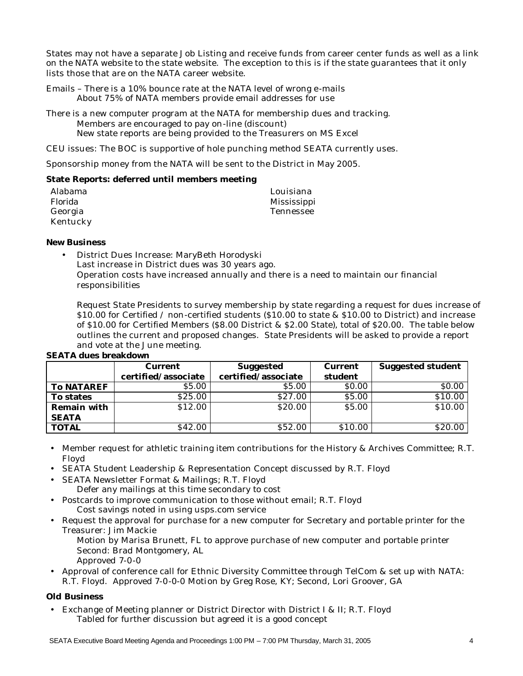States may not have a separate Job Listing and receive funds from career center funds as well as a link on the NATA website to the state website. The exception to this is if the state guarantees that it only lists those that are on the NATA career website.

- Emails There is a 10% bounce rate at the NATA level of wrong e-mails About 75% of NATA members provide email addresses for use
- There is a new computer program at the NATA for membership dues and tracking. Members are encouraged to pay on-line (discount) New state reports are being provided to the Treasurers on MS Excel
- CEU issues: The BOC is supportive of hole punching method SEATA currently uses.

Sponsorship money from the NATA will be sent to the District in May 2005.

#### **State Reports: deferred until members meeting**

| Alabama  | Louisiana   |
|----------|-------------|
| Florida  | Mississippi |
| Georgia  | Tennessee   |
| Kentucky |             |

#### **New Business**

• District Dues Increase: MaryBeth Horodyski Last increase in District dues was 30 years ago. Operation costs have increased annually and there is a need to maintain our financial responsibilities

Request State Presidents to survey membership by state regarding a request for dues increase of \$10.00 for Certified / non-certified students (\$10.00 to state & \$10.00 to District) and increase of \$10.00 for Certified Members (\$8.00 District & \$2.00 State), total of \$20.00. The table below outlines the current and proposed changes. State Presidents will be asked to provide a report and vote at the June meeting.

|                    | <b>Current</b>      | <b>Suggested</b>    | <b>Current</b> | <b>Suggested student</b> |
|--------------------|---------------------|---------------------|----------------|--------------------------|
|                    | certified/associate | certified/associate | student        |                          |
| <b>To NATAREF</b>  | \$5.00              | \$5.00              | \$0.00         | \$0.00                   |
| To states          | \$25.00             | \$27.00             | \$5.00         | \$10.00                  |
| <b>Remain with</b> | \$12.00             | \$20.00             | \$5.00         | \$10.00                  |
| <b>SEATA</b>       |                     |                     |                |                          |
| <b>TOTAL</b>       | \$42.00             | \$52.00             | \$10.00        | \$20.00                  |

#### **SEATA dues breakdown**

- Member request for athletic training item contributions for the History & Archives Committee; R.T. Floyd
- SEATA Student Leadership & Representation Concept discussed by R.T. Floyd
- SEATA Newsletter Format & Mailings; R.T. Floyd Defer any mailings at this time secondary to cost
- Postcards to improve communication to those without email; R.T. Floyd Cost savings noted in using usps.com service
- Request the approval for purchase for a new computer for Secretary and portable printer for the Treasurer: Jim Mackie
	- Motion by Marisa Brunett, FL to approve purchase of new computer and portable printer Second: Brad Montgomery, AL
	- Approved 7-0-0
- Approval of conference call for Ethnic Diversity Committee through TelCom & set up with NATA: R.T. Floyd. Approved 7-0-0-0 Motion by Greg Rose, KY; Second, Lori Groover, GA

## **Old Business**

• Exchange of Meeting planner or District Director with District I & II; R.T. Floyd Tabled for further discussion but agreed it is a good concept